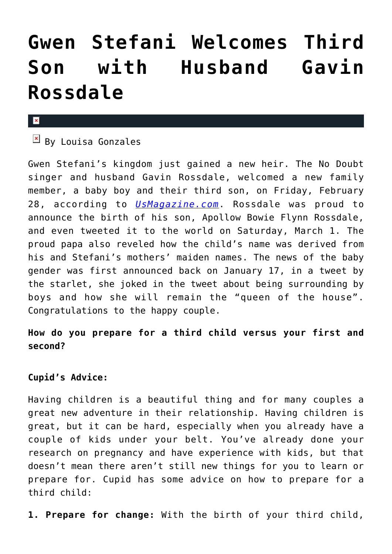# **[Gwen Stefani Welcomes Third](https://cupidspulse.com/71319/gwen-stefani-welcomes-third-son-gavin-rossdale/) [Son with Husband Gavin](https://cupidspulse.com/71319/gwen-stefani-welcomes-third-son-gavin-rossdale/) [Rossdale](https://cupidspulse.com/71319/gwen-stefani-welcomes-third-son-gavin-rossdale/)**

#### $\mathbf{x}$

 $\mathbb{F}$  By Louisa Gonzales

Gwen Stefani's kingdom just gained a new heir. The No Doubt singer and husband Gavin Rossdale, welcomed a new family member, a baby boy and their third son, on Friday, February 28, according to *[UsMagazine.com](http://www.usmagazine.com/celebrity-moms/news/gwen-stefani-gives-birth-to-baby-boy-welcomes-third-son-with-husband-gavin-rossdale-201413)*. Rossdale was proud to announce the birth of his son, Apollow Bowie Flynn Rossdale, and even tweeted it to the world on Saturday, March 1. The proud papa also reveled how the child's name was derived from his and Stefani's mothers' maiden names. The news of the baby gender was first announced back on January 17, in a tweet by the starlet, she joked in the tweet about being surrounding by boys and how she will remain the "queen of the house". Congratulations to the happy couple.

## **How do you prepare for a third child versus your first and second?**

## **Cupid's Advice:**

Having children is a beautiful thing and for many couples a great new adventure in their relationship. Having children is great, but it can be hard, especially when you already have a couple of kids under your belt. You've already done your research on pregnancy and have experience with kids, but that doesn't mean there aren't still new things for you to learn or prepare for. Cupid has some advice on how to prepare for a third child:

**1. Prepare for change:** With the birth of your third child,